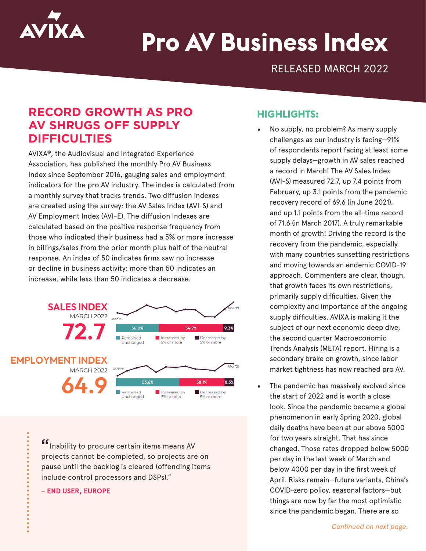

# **Pro AV Business Index**

RELEASED MARCH 2022

## **RECORD GROWTH AS PRO AV SHRUGS OFF SUPPLY DIFFICULTIES**

AVIXA®, the Audiovisual and Integrated Experience Association, has published the monthly Pro AV Business Index since September 2016, gauging sales and employment indicators for the pro AV industry. The index is calculated from a monthly survey that tracks trends. Two diffusion indexes are created using the survey: the AV Sales Index (AVI-S) and AV Employment Index (AVI-E). The diffusion indexes are calculated based on the positive response frequency from those who indicated their business had a 5% or more increase in billings/sales from the prior month plus half of the neutral response. An index of 50 indicates firms saw no increase or decline in business activity; more than 50 indicates an increase, while less than 50 indicates a decrease.



**"**Inability to procure certain items means AV projects cannot be completed, so projects are on pause until the backlog is cleared (offending items include control processors and DSPs)."

#### **– END USER, EUROPE**

### **HIGHLIGHTS:**

- No supply, no problem? As many supply challenges as our industry is facing—91% of respondents report facing at least some supply delays—growth in AV sales reached a record in March! The AV Sales Index (AVI-S) measured 72.7, up 7.4 points from February, up 3.1 points from the pandemic recovery record of 69.6 (in June 2021), and up 1.1 points from the all-time record of 71.6 (in March 2017). A truly remarkable month of growth! Driving the record is the recovery from the pandemic, especially with many countries sunsetting restrictions and moving towards an endemic COVID-19 approach. Commenters are clear, though, that growth faces its own restrictions, primarily supply difficulties. Given the complexity and importance of the ongoing supply difficulties, AVIXA is making it the subject of our next economic deep dive, the second quarter Macroeconomic Trends Analysis (META) report. Hiring is a secondary brake on growth, since labor market tightness has now reached pro AV.
- The pandemic has massively evolved since the start of 2022 and is worth a close look. Since the pandemic became a global phenomenon in early Spring 2020, global daily deaths have been at our above 5000 for two years straight. That has since changed. Those rates dropped below 5000 per day in the last week of March and below 4000 per day in the first week of April. Risks remain—future variants, China's COVID-zero policy, seasonal factors—but things are now by far the most optimistic since the pandemic began. There are so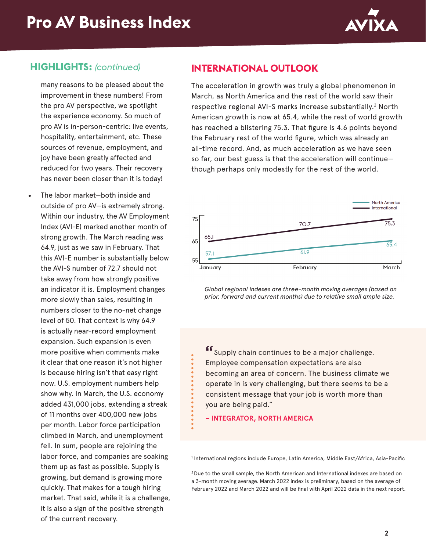

### **HIGHLIGHTS:** *(continued)*

many reasons to be pleased about the improvement in these numbers! From the pro AV perspective, we spotlight the experience economy. So much of pro AV is in-person-centric: live events, hospitality, entertainment, etc. These sources of revenue, employment, and joy have been greatly affected and reduced for two years. Their recovery has never been closer than it is today!

• The labor market—both inside and outside of pro AV—is extremely strong. Within our industry, the AV Employment Index (AVI-E) marked another month of strong growth. The March reading was 64.9, just as we saw in February. That this AVI-E number is substantially below the AVI-S number of 72.7 should not take away from how strongly positive an indicator it is. Employment changes more slowly than sales, resulting in numbers closer to the no-net change level of 50. That context is why 64.9 is actually near-record employment expansion. Such expansion is even more positive when comments make it clear that one reason it's not higher is because hiring isn't that easy right now. U.S. employment numbers help show why. In March, the U.S. economy added 431,000 jobs, extending a streak of 11 months over 400,000 new jobs per month. Labor force participation climbed in March, and unemployment fell. In sum, people are rejoining the labor force, and companies are soaking them up as fast as possible. Supply is growing, but demand is growing more quickly. That makes for a tough hiring market. That said, while it is a challenge, it is also a sign of the positive strength of the current recovery.

## **INTERNATIONAL OUTLOOK**

The acceleration in growth was truly a global phenomenon in March, as North America and the rest of the world saw their respective regional AVI-S marks increase substantially.<sup>2</sup> North American growth is now at 65.4, while the rest of world growth has reached a blistering 75.3. That figure is 4.6 points beyond the February rest of the world figure, which was already an all-time record. And, as much acceleration as we have seen so far, our best guess is that the acceleration will continue though perhaps only modestly for the rest of the world.



*Global regional indexes are three-month moving averages (based on prior, forward and current months) due to relative small ample size.*

**"**Supply chain continues to be a major challenge. Employee compensation expectations are also becoming an area of concern. The business climate we operate in is very challenging, but there seems to be a consistent message that your job is worth more than you are being paid."

**– INTEGRATOR, NORTH AMERICA**

1 International regions include Europe, Latin America, Middle East/Africa, Asia-Pacific

2 Due to the small sample, the North American and International indexes are based on a 3-month moving average. March 2022 index is preliminary, based on the average of February 2022 and March 2022 and will be final with April 2022 data in the next report.